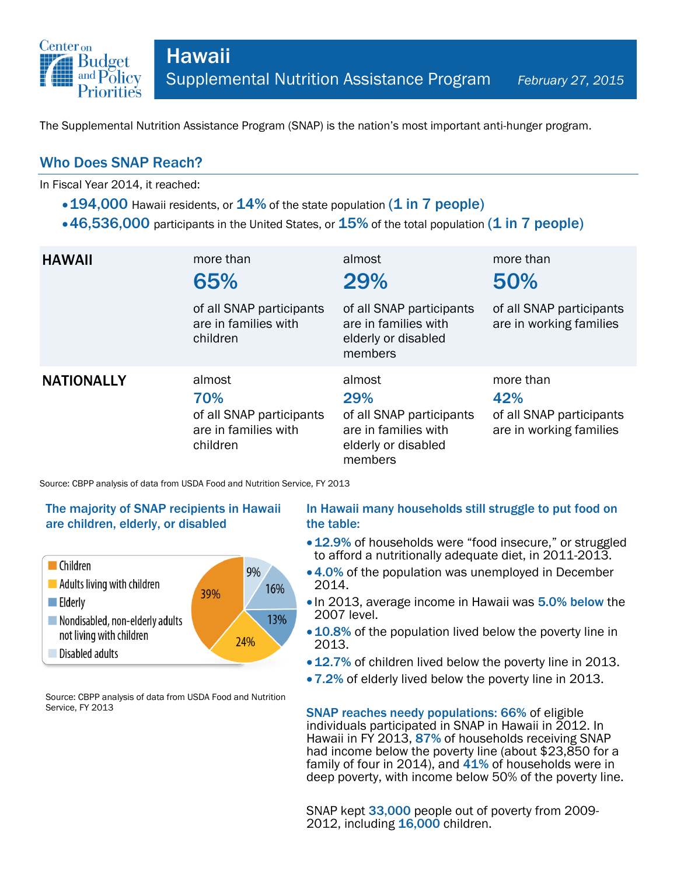

The Supplemental Nutrition Assistance Program (SNAP) is the nation's most important anti-hunger program.

## Who Does SNAP Reach?

In Fiscal Year 2014, it reached:

- 194,000 Hawaii residents, or 14% of the state population (1 in 7 people)
- $\cdot$  46,536,000 participants in the United States, or  $15\%$  of the total population (1 in 7 people)

| <b>HAWAII</b>     | more than<br>65%<br>of all SNAP participants<br>are in families with<br>children | almost<br>29%<br>of all SNAP participants<br>are in families with<br>elderly or disabled<br>members | more than<br>50%<br>of all SNAP participants<br>are in working families |
|-------------------|----------------------------------------------------------------------------------|-----------------------------------------------------------------------------------------------------|-------------------------------------------------------------------------|
| <b>NATIONALLY</b> | almost<br>70%<br>of all SNAP participants<br>are in families with<br>children    | almost<br>29%<br>of all SNAP participants<br>are in families with<br>elderly or disabled<br>members | more than<br>42%<br>of all SNAP participants<br>are in working families |

Source: CBPP analysis of data from USDA Food and Nutrition Service, FY 2013

### The majority of SNAP recipients in Hawaii are children, elderly, or disabled



Source: CBPP analysis of data from USDA Food and Nutrition Service, FY 2013

#### In Hawaii many households still struggle to put food on the table:

- 12.9% of households were "food insecure," or struggled to afford a nutritionally adequate diet, in 2011-2013.
- 4.0% of the population was unemployed in December 2014.
- In 2013, average income in Hawaii was 5.0% below the 2007 level.
- 10.8% of the population lived below the poverty line in 2013.
- 12.7% of children lived below the poverty line in 2013.
- 7.2% of elderly lived below the poverty line in 2013.

SNAP reaches needy populations: 66% of eligible individuals participated in SNAP in Hawaii in 2012. In Hawaii in FY 2013, 87% of households receiving SNAP had income below the poverty line (about \$23,850 for a family of four in 2014), and  $41\%$  of households were in deep poverty, with income below 50% of the poverty line.

SNAP kept 33,000 people out of poverty from 2009-2012, including 16,000 children.